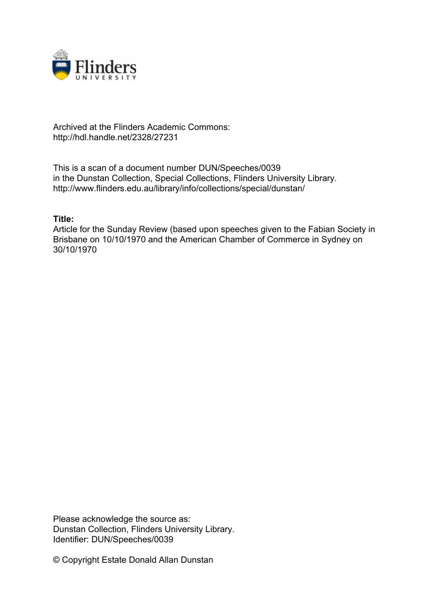

## Archived at the Flinders Academic Commons: http://hdl.handle.net/2328/27231

This is a scan of a document number DUN/Speeches/0039 in the Dunstan Collection, Special Collections, Flinders University Library. http://www.flinders.edu.au/library/info/collections/special/dunstan/

## **Title:**

Article for the Sunday Review (based upon speeches given to the Fabian Society in Brisbane on 10/10/1970 and the American Chamber of Commerce in Sydney on 30/10/1970

Please acknowledge the source as: Dunstan Collection, Flinders University Library. Identifier: DUN/Speeches/0039

© Copyright Estate Donald Allan Dunstan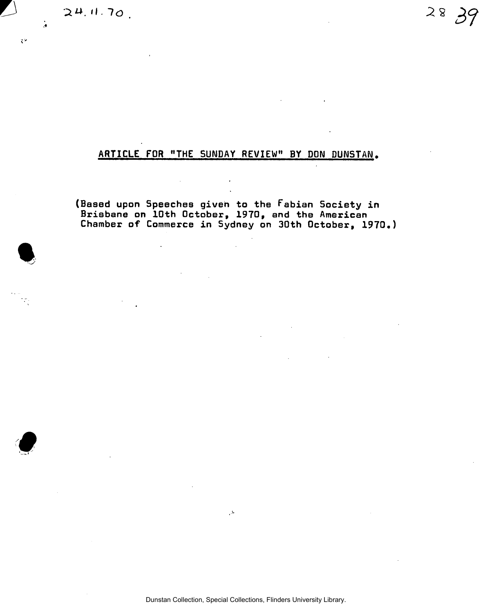**11.** 70. **28** 

 $\ddot{ }$ 

 $\overline{C}$ 

## ARTICLE FOR "THE SUNDAY REVIEW" BY DON DUNSTAN.

 $\mathbb{Z}$ 

(Based upon Speeches given to the Fabian Society in Brisbane on 10th October, 1970, and the American Chamber of Commerce in Sydney on 30th October, 1970.)

Dunstan Collection, Special Collections, Flinders University Library.

 $\Delta$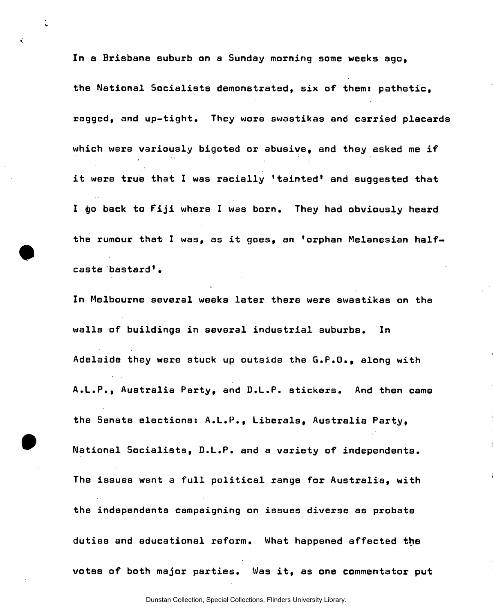In a Brisbane suburb on a Sunday morning some weeks ago, the National Socialists demonstrated, six of them: pathetic, ragged, and up-tight. They wore swastikas and carried placards which were variously bigoted or abusive, and they asked me if it were true that I was racially 'tainted' and suggested that I go back to Fiji where I was born. They had obviously heard the rumour that I was, as it goes, an 'orphan Melanesian halfcaste bastard'•

 $\ddot{\cdot}$ 

Ň

In Melbourne several weeks later there were swastikas on the walls of buildings in several industrial suburbs. In Adelaide they were stuck up outside the G.P.O., along with A.L.P., Australia Party, and D.L.P. stickers. And then came the Senate elections: A.L.P., Liberals, Australia Party, National Socialists, D.L.P. and a variety of independents. The issues went a full political range for Australia, with the independents campaigning on issues diverse as probate duties and educational reform. What happened affected the votes of both major parties. Was it, as one commentator put

Dunstan Collection, Special Collections, Flinders University Library.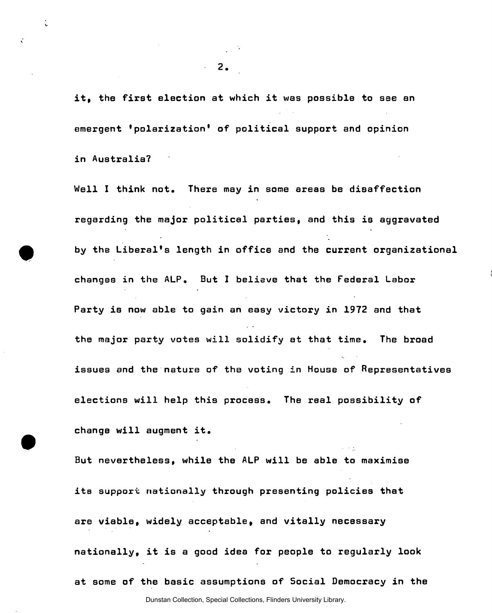it, the first election at which it was possible to see an emergent 'polarization' of political support and opinion in Australia?

Well I think not. There may in some areas be disaffection regarding the major political parties, and this is aggravated by the Liberal's length in office and the current organizational changes in the ALP. But I believe that the Federal Labor Party is now able to gain an easy victory in 1972 and that the major party votes will solidify at that time. The broad issues and the nature of the voting in House of Representatives elections will help this process. The real possibility of change will augment it.

 $\alpha$  ,  $\alpha$  ,  $\alpha$ 

But nevertheless, while the ALP will be able to maximise its support nationally through presenting policies that are viable, widely acceptable, and vitally necessary nationally, it is a good idea for people to regularly look at some of the basic assumptions of Social Democracy in the

Dunstan Collection, Special Collections, Flinders University Library.

 $\ddot{\epsilon}$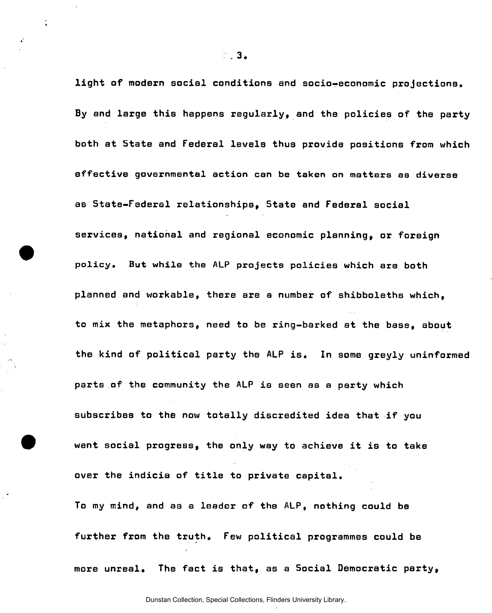light of modern social conditions and socio-economic projections. By and large this happens regularly, and the policies of the party both at State and Federal levels thus provide positions from which effective governmental action can be taken on matters as diverse as State-Federal relationships, State and Federal social services, national and regional economic planning, or foreign policy. But while the ALP projects policies which are both planned and workable, there are a number of shibboleths which, to mix the metaphors, need to be ring-barked at the base, about the kind of political party the ALP is. In some greyly uninformed parts of the community the ALP is seen as a party which subscribes to the now totally discredited idea that if you want social progress, the only way to achieve it is to take over the indicia of title to private capital. To my mind, and as a leader of the ALP, nothing could be

further from the truth. Few political programmes could be more unreal. The fact is that, as a Social Democratic party,

**.3.**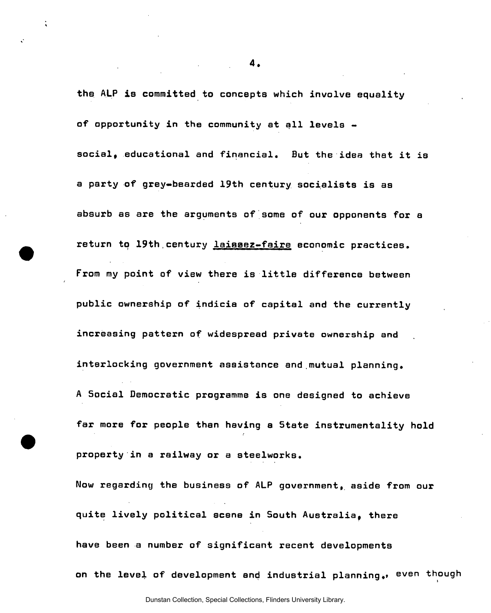the ALP is committed to concepts which involve equality of opportunity in the community at all levels social, educational and financial. But the idea that it is a party of grey-bearded 19th century socialists is as absurb as are the arguments of some of our opponents for a return to 19th century laissez-faire economic practices. From my point of view there is little difference between public ownership of indicia of capital and the currently increasing pattern of widespread private ownership and interlocking government assistance and.mutual planning. A Social Democratic programme is one designed to achieve far more for people than having a State instrumentality hold property in a railway or a steelworks.

Now regarding the business of ALP government, aside from our quite lively political scene in South Australia, there have been a number of significant recent developments on the level of development and industrial planning., even though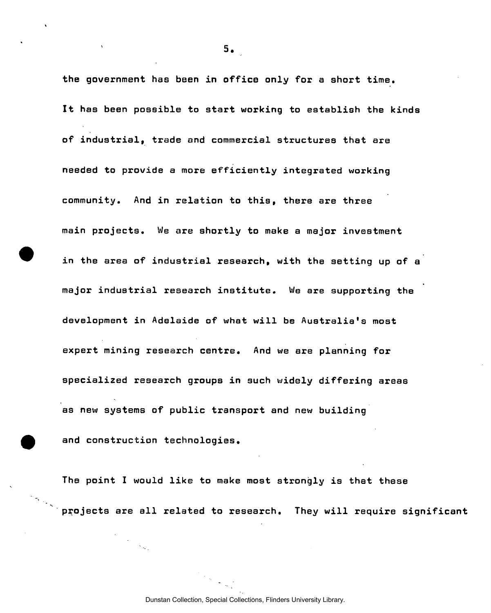the government has been in office only for a short time. It has been possible to start working to establish the kinds of industrial, trade and commercial structures that are needed to provide a more efficiently integrated working community. And in relation to this, there are three main projects. We are shortly to make a major investment in the area of industrial research, with the setting up of a major industrial research institute. We are supporting the development in Adelaide of what will be Australia's most expert mining research centre. And we are planning for specialized research groups in such widely differing areas as new systems of public transport and new building and construction technologies.

The point I would like to make most strongly is that these projects are all related to research. They will require significant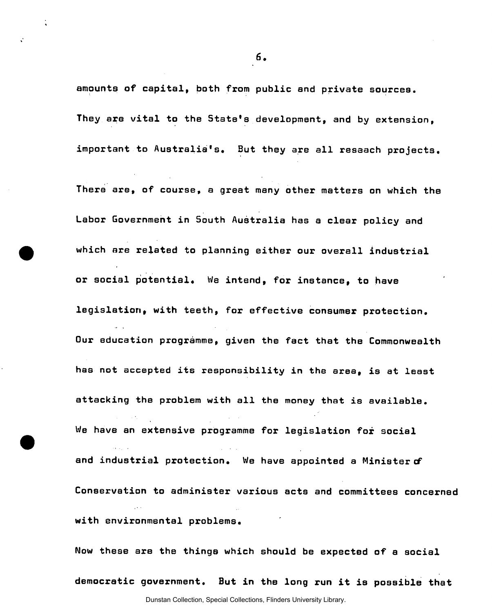amounts of capital, both from public and private sources. They are vital to the State's development, and by extension, important to Australia's, But they are all resaach projects.

There are, of course, a great many other matters on which the Labor Government in South Australia has a clear policy and which are related to planning either our overall industrial or social potential. We intend, for instance, to have legislation, with teeth, for effective consumer protection. Our education programme, given the fact that the Commonwealth has not accepted its responsibility in the area, is at least attacking the problem with all the money that is available. We have an extensive programme for legislation for social and industrial protection. We have appointed a Minister of Conservation to administer various acts and committees concerned with environmental problems.

Now these are the things which should be expected of a social democratic government. But in the long run it is possible that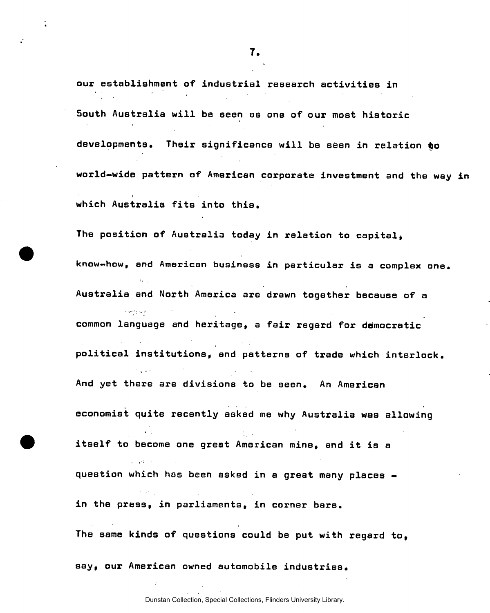our establishment of industrial research activities in South Australia will be seen as one of our most historic developments. Their significance will be seen in relation to world-wide pattern of American corporate investment and the way in which Australia fits into this.

The position of Australia today in relation to capital,

**know-how, and American business in particular is a complex one.**  i, Australia and North America are drawn together because of a common language and heritage, a fair regard for democratic political institutions, and patterns of trade which interlock. political institutions, and patterns of trade which interlock. And yet there are divisions to be seen. An American And yet there are divisions to be seen. An American state  $\mathcal{A}$ 

economist quite recently asked me why Australia was allowing economist quite recently asked me why Australia was allowing

itself to become one great American mine, and it is a itself to be computed the come one great  $\mathcal{L}_{\mathcal{A}}$  and it is and it is and it is and it is and it is and it is and it is and it is and it is an question which has been asked in a great many places in the press, in parliaments, in corner bars.

The same kinds of questions could be put with regard to,

say, our American owned automobile industries. say, our American owned automobile industries.

Dunstan Collection, Special Collections, Flinders University Library.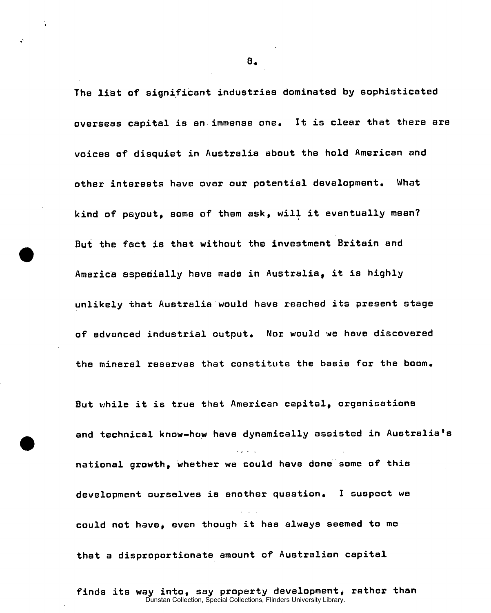The list of significant industries dominated by sophisticated overseas capital is an immense one. It is clear that there are voices of disquiet in Australia about the hold American and other interests have over our potential development. What kind of payout, some of them ask, will it eventually mean? But the fact is that without the investment Britain and America especially have made in Australia, it is highly unlikely that Australia would have reached its present stage of advanced industrial output. Nor would we have discovered the mineral reserves that constitute the basis for the boom. But while it is true that American capital, organisations and technical know-how have dynamically assisted in Australia' national growth, whether we could have done some of this development ourselves is another question. I suspect we could not have, even though it has always seemed to me that a disproportionate amount of Australian capital

finds its way into, say property development, rather than Dunstan Collection, Special Collections, Flinders University Library.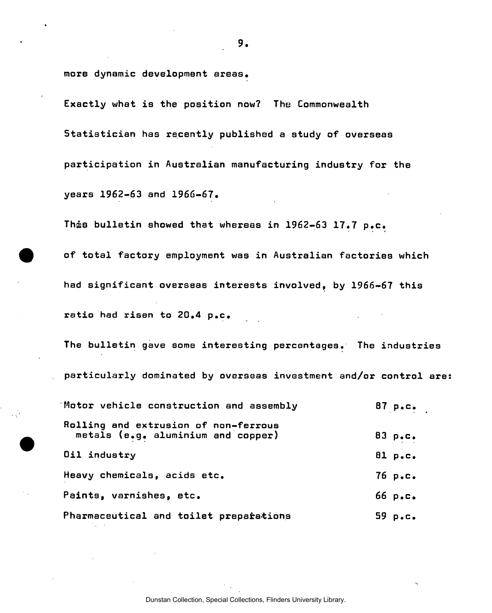more dynamic development areas.

Exactly what is the position now? The Commonwealth Statistician has recently published a study of overseas participation in Australian manufacturing industry for the years 1962-63 and 1966-67.

Thas bulletin showed that whereas in 1962-63 17.7 p.c.

of total factory employment was in Australian factories which had significant overseas interests involved, by 1966-67 this ratio had risen to 20.4 p.c.

The bulletin gave some interesting percentages. The industries particularly dominated by overseas investment and/or control are:

| Motor vehicle construction and assembly                                    | 87 $p_{\bullet}c_{\bullet}$ |
|----------------------------------------------------------------------------|-----------------------------|
| Rolling and extrusion of non-ferrous<br>metals (e.g. aluminium and copper) | 83 p.c.                     |
| Oil industry                                                               | B1 p.C.                     |
| Heavy chemicals, acids etc.                                                | $76$ p.c.                   |
| Paints, varnishes, etc.                                                    | 66 p.C.                     |
| Pharmaceutical and toilet preparations                                     | 59 $p_{\bullet}c_{\bullet}$ |
|                                                                            |                             |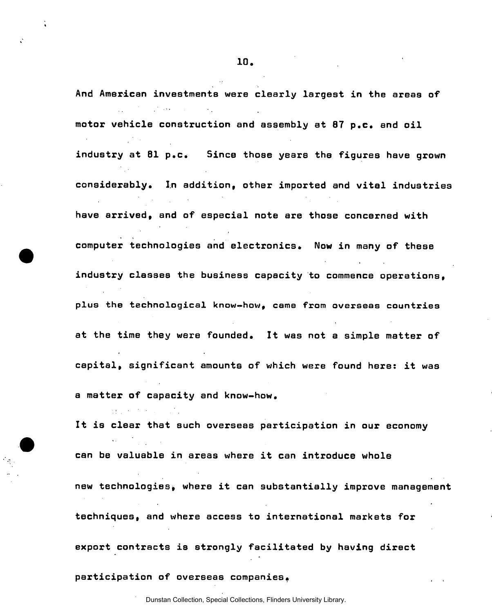And American investments were clearly largest in the areas of motor vehicle construction and assembly at 87 p.c. and oil industry at 81 p.c. Since those years the figures have grown considerably. In addition, other imported and vital industries have arrived, and of especial note are those concerned with computer technologies and electronics. Now in many of these industry classes the business capacity to commence operations, plus the technological know-how, came from overseas countries at the time they were founded. It was not a simple matter of capital, significant amounts of which were found here: it was a matter of capacity and know-how.

It is clear that such overseas participation in our economy can be valuable in areas where it can introduce whole new technologies, where it can substantially improve management techniques, and where access to international markets for export contracts is strongly facilitated by having direct

participation of overseas companies.

and the state of the state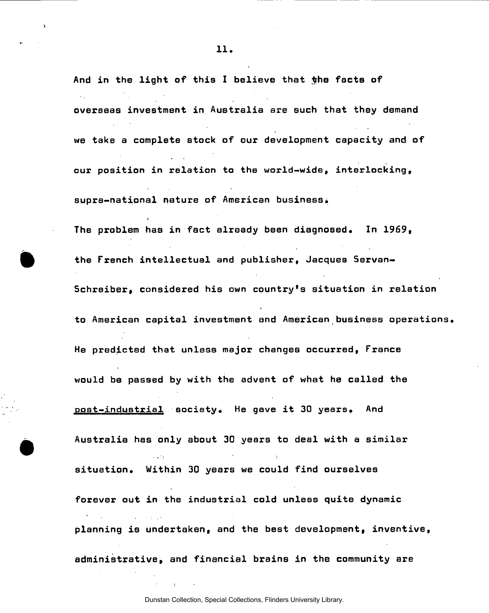And in the light of this I believe that the facts of overseas investment in Australia are such that they demand we take a complete stock of our development capacity and of our position in relation to the world-wide, interlocking, supra-national nature of American business. The problem has in fact already been diagnosed. In 1969, the French intellectual and publisher, Jacques Servan-Schreiber, considered his own country's situation in relation to American capital investment and American business operations. He predicted that unless major changes occurred, France would be passed by with the advent of what he called the post-industrial society. He gave it 30 years. And Australia has only about 30 years to deal with a similar situation. Within 30 years we could find ourselves forever out in the industrial cold unless quite dynamic planning is undertaken, and the best development, inventive, administrative, and financial brains in the community are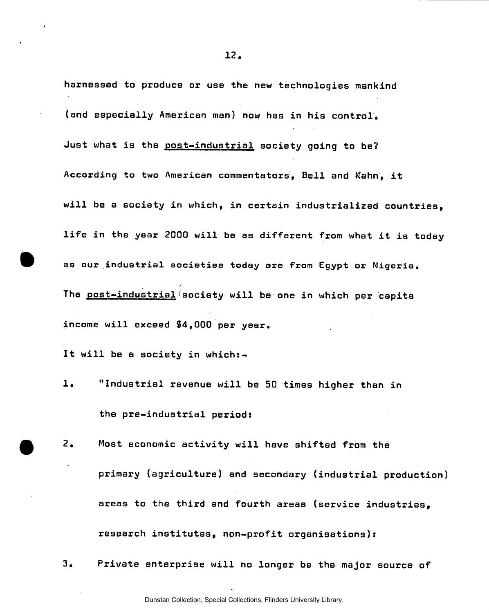harnessed to produce or use the new technologies mankind (and especially American man) now has in his control. Just what is the post-industrial society going to be? According to two American commentators, Bell and Kahn, it will be a society in which, in certain industrialized countries, life in the year 2000 will be as different from what it is today as our industrial societies today are from Egypt or Nigeria. The <u>post-industrial</u> society will be one in which per capita income will exceed \$4,000 per year.

It will be a society in which:-

- 1. "Industrial revenue will be 50 times higher than in the pre-industrial periods
- 2. Most economic activity will have shifted from the primary (agriculture) and secondary (industrial production) areas to the third and fourth areas (service industries, research institutes, non-profit organisations):
- 3. Private enterprise will no longer be the major source of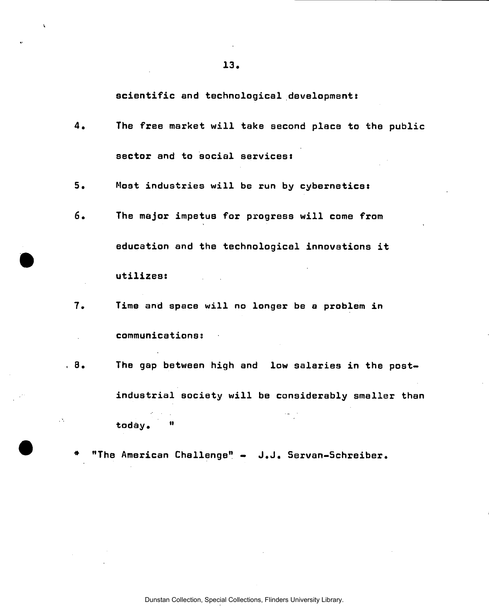scientific and technological development:

 $4.$ The free market will take second place to the public sector and to social services:

 $5.$ Most industries will be run by cybernetics:

- $6.$ The major impetus for progress will come from education and the technological innovations it utilizes:
- $7.$ Time and space will no longer be a problem in communications:
- $.8.$ The gap between high and low salaries in the postindustrial society will be considerably smaller than today. "

"The American Challenge" - J.J. Servan-Schreiber.

 $\mathcal{O}_\ell$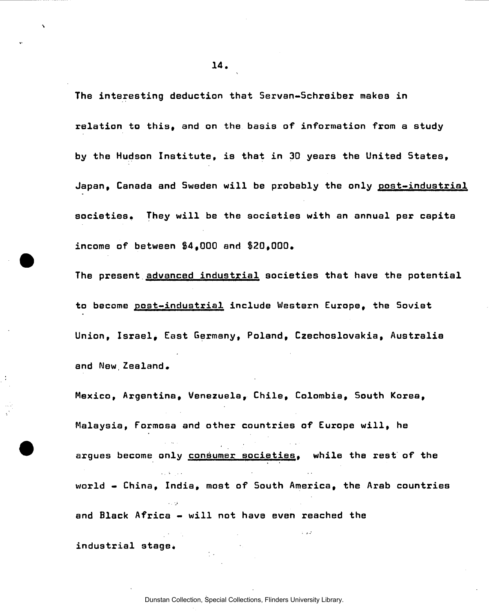The interesting deduction that Servan-Schreiber makes in relation to this, and on the basis of information from a study by the Hudson Institute, is that in 30 years the United States, Japan, Canada and Sweden will be probably the only post-industrial societies. They will be the societies with an annual per capita income of between §4,000 and 820,000.

The present advanced industrial societies that have the potential to become post-industrial include Western Europe, the Soviet Union, Israel, East Germany, Poland, Czechoslovakia, Australia and New,Zealand.

Mexico, Argentina, Venezuela, Chile, Colombia, South Korea, Malaysia, Formosa and other countries of Europe will, he argues become only consumer societies, while the rest of the world - China, India, most of South America, the Arab countries and Black Africa - will not have even reached the

 $industrial$  stage.

**.14.**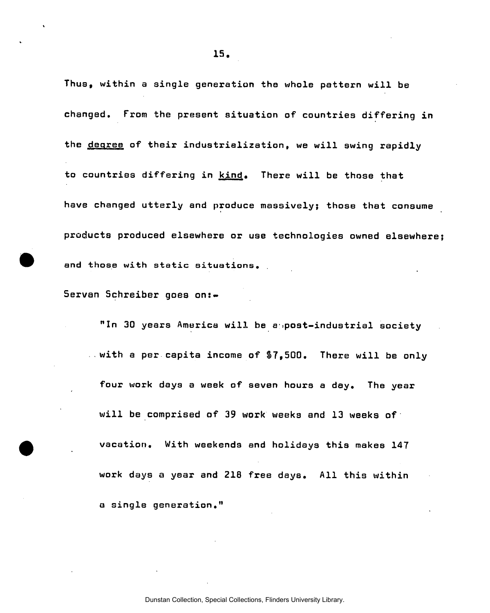Thus, within a single generation the whole pattern will be changed. From the present situation of countries differing in the degree of their industrialization, we will swing rapidly to countries differing in kind. There will be those that have changed utterly and produce massively; those that consume products produced elsewhere or use technologies owned elsewhere and those with static situations.

Servan Schreiber goes on:-

"In 30 years America will be a post-industrial society with a per capita income of \$7,500. There will be only four work days a week of seven hours a day. The year will be comprised of 39 work weeks and 13 weeks of vacation. With weekends and holidays this makes 147 work days a year and 218 free days. All this within a single generation."

**.15.**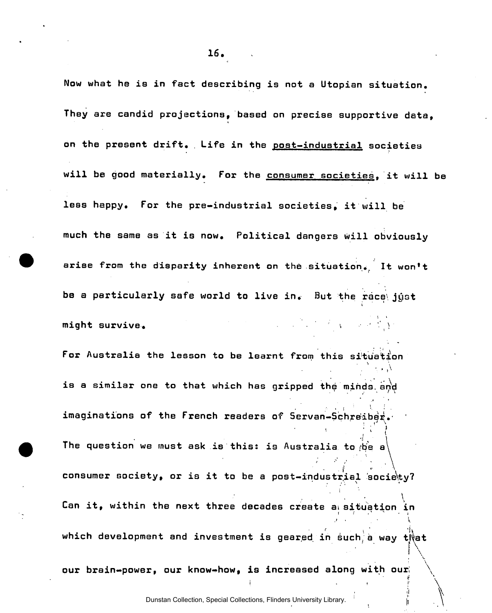Now what he is in fact describing is not a Utopian situation. They are candid projections, based on precise supportive data, on the present drift. Life in the post-industrial societies will be good materially. For the consumer societies, it will be less happy. For the pre-industrial societies, it will be much the same as it is now. Political dangers Will obviously arise from the disparity inherent on the situation. It won't be a particularly safe world to live in. But the race\ just might survive.  $\blacksquare$ For Australia the lesson to be learnt from this situation  $\mathcal{L} \subset \mathcal{L}$ . v is a similar one to that which has gripped the minds and i • imaginations of the French readers of Servan-Schreiber. The question we must ask is this: is Australia to  $\phi$ e a consumer society, or is it to be a post-industrial society?

consumer society, or is it to be a post-industrial socie\ty? I Can it, with the next three decades create at situation in  $\mathcal{N}$  at situation in  $\mathcal{N}$ ة uch a way tive r . , '

which develops and investment is geared investment is geared in such and investment is geared in such, a way t

 $\Delta$ 

 $\mathcal{L} =$ our brain-power, our know-how, is increased along with our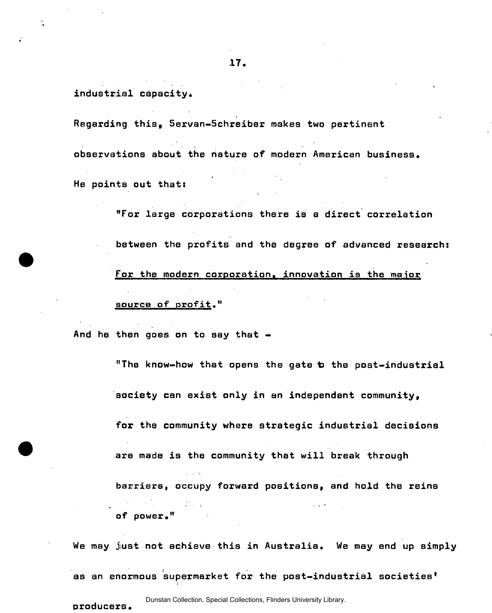$industrial$  capacity.

Regarding this, Servan-Schreiber makes two pertinent

observations about the nature of modern American business.

He points out that:

"For large corporations there is a direct correlation

between the profits and the degree of advanced research:

For the modern corporation, innovation is the major source of profit."

And he then goes on to say that  $-$ 

"The know-how that opens the gate to the post-industrial society can exist only in an independent community, for the community where strategic industrial decisions are made is the community that will break through barriers, occupy forward positions, and hold the reins of power."

We may just not achieve this in Australia. We may end up simply

as an enormous supermarket for the post-industrial societies'

producers.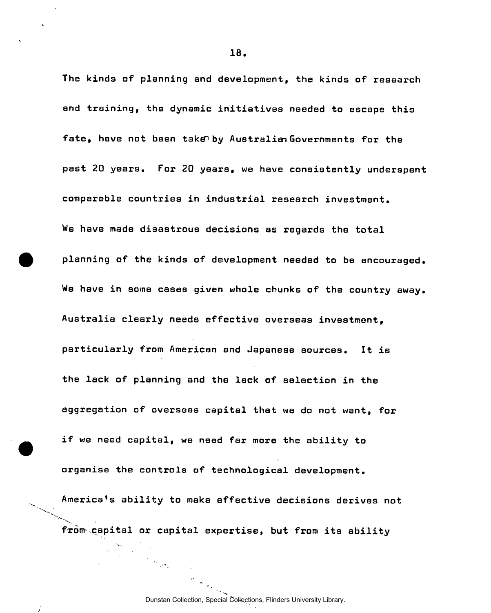The kinds of planning and development, the kinds of research and training, the dynamic initiatives needed to escape this fate, have not been take by Australian Governments for the past 20 years. For 20 years, we have consistently underspent comparable countries in industrial research investment. We have made disastrous decisions as regards the total planning of the kinds of development needed to be encouraged. We have in some cases given whole chunks of the country away. Australia clearly needs effective overseas investment, particularly from American and Japanese sources. It is the lack of planning and the lack of selection in the aggregation of overseas capital that we do not want, for if we need capital, we need far more the ability to organise the controls of technological development. America's ability to make effective decisions derives not from capital or capital expertise, but from its ability

 $\frac{1}{2} \frac{1}{2} \frac{1}{2} \frac{1}{2}$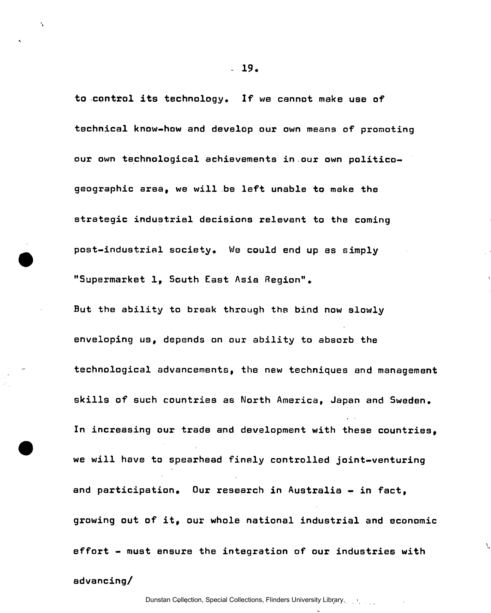to control its technology. If we cannot make use of technical know-how and develop our own means of promoting our own technological achievements in our own politicogeographic area, we will be left unable to make the strategic industrial decisions relevant to the coming post-industrial society. We could end up as simply "Supermarket 1, South East Asia Region".

But the ability to break through the bind now slowly enveloping us, depends on our ability to absorb the technological advancements, the new techniques and management skills of such countries as North America, Japan and Sweden. In increasing our trade and development with these countries, we will have to spearhead finely controlled joint-venturing and participation. Our research in Australia - in fact, growing out of it, our whole national industrial and economic effort - must ensure the integration of our industries with

**- 19.** 

 $\lambda$ 

advancing/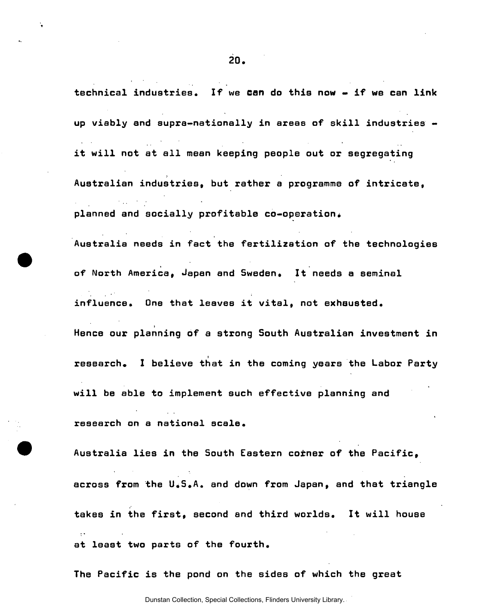technical industries. If we can do this now - if we can link

up viably and supra-nationally in areas of skill industries it will not at all mean keeping people out or segregating Australian industries, but rather a programme of intricate, planned and socially profitable co-operation. Australia needs in fact the fertilization of the technologies of North America, Japan and Sweden. It needs a seminal influence. One that leaves it vital, not exhausted. Hence our planning of a strong South Australian investment in research. I believe that in the coming years the Labor Party will be able to implement such effective planning and research on a national scale. Australia lies in the South Eastern corner of the Pacific, across from the U.S.A. and down from Japan, and that triangle takes in the first, second and third worlds. It will house at least two parts of the fourth.

The Pacific is the pond on the sides of which the great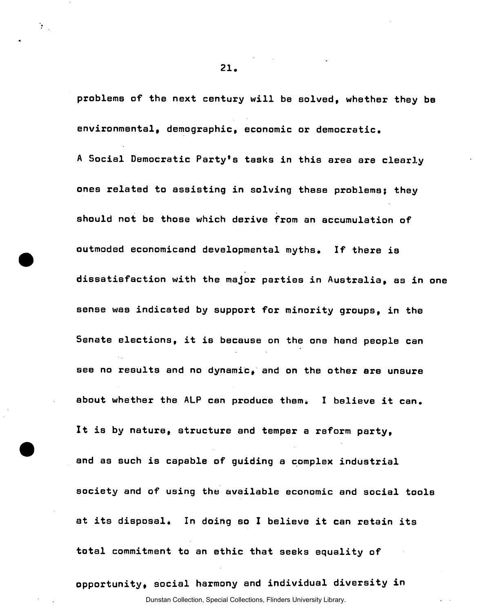problems of the next century will be solved, whether they be environmental, demographic, economic or democratic,

A Social Democratic Party's tasks in this area are clearly ones related to assisting in solving these problems; they should not be those which derive from an accumulation of outmoded economicand developmental myths. If there is dissatisfaction with the major parties in Australia, as in one sense was indicated by support for minority groups, in the Senate elections, it is because on the one hand people can see no results and no dynamic, and on the other are unsure about whether the ALP can produce them. I believe it can. It is by nature, structure and temper a reform party, and as such is capable of guiding a complex industrial society and of using the available economic and social tools at its disposal. In doing so I believe it can retain its total commitment to an ethic that seeks equality of

opportunity, social harmony and individual diversity in

**21.** 

 $\mathcal{N}^{\text{max}}$